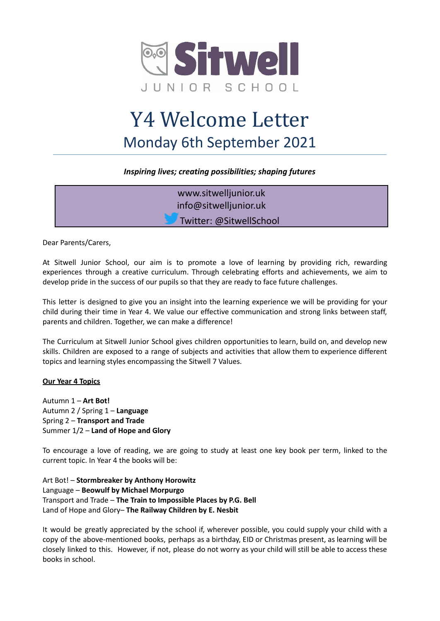

# Y4 Welcome Letter Monday 6th September 2021

# *Inspiring lives; creating possibilities; shaping futures*

www.sitwelljunior.uk info@sitwelljunior.uk Twitter: @SitwellSchool

Dear Parents/Carers,

At Sitwell Junior School, our aim is to promote a love of learning by providing rich, rewarding experiences through a creative curriculum. Through celebrating efforts and achievements, we aim to develop pride in the success of our pupils so that they are ready to face future challenges.

This letter is designed to give you an insight into the learning experience we will be providing for your child during their time in Year 4. We value our effective communication and strong links between staff, parents and children. Together, we can make a difference!

The Curriculum at Sitwell Junior School gives children opportunities to learn, build on, and develop new skills. Children are exposed to a range of subjects and activities that allow them to experience different topics and learning styles encompassing the Sitwell 7 Values.

# **Our Year 4 Topics**

Autumn 1 – **Art Bot!** Autumn 2 / Spring 1 – **Language** Spring 2 – **Transport and Trade** Summer 1/2 – **Land of Hope and Glory**

To encourage a love of reading, we are going to study at least one key book per term, linked to the current topic. In Year 4 the books will be:

Art Bot! – **Stormbreaker by Anthony Horowitz** Language – **Beowulf by Michael Morpurgo** Transport and Trade – **The Train to Impossible Places by P.G. Bell** Land of Hope and Glory– **The Railway Children by E. Nesbit**

It would be greatly appreciated by the school if, wherever possible, you could supply your child with a copy of the above-mentioned books, perhaps as a birthday, EID or Christmas present, as learning will be closely linked to this. However, if not, please do not worry as your child will still be able to access these books in school.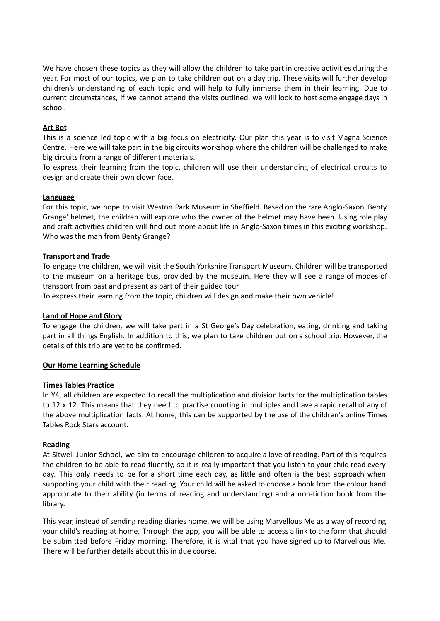We have chosen these topics as they will allow the children to take part in creative activities during the year. For most of our topics, we plan to take children out on a day trip. These visits will further develop children's understanding of each topic and will help to fully immerse them in their learning. Due to current circumstances, if we cannot attend the visits outlined, we will look to host some engage days in school.

#### **Art Bot**

This is a science led topic with a big focus on electricity. Our plan this year is to visit Magna Science Centre. Here we will take part in the big circuits workshop where the children will be challenged to make big circuits from a range of different materials.

To express their learning from the topic, children will use their understanding of electrical circuits to design and create their own clown face.

#### **Language**

For this topic, we hope to visit Weston Park Museum in Sheffield. Based on the rare Anglo-Saxon 'Benty Grange' helmet, the children will explore who the owner of the helmet may have been. Using role play and craft activities children will find out more about life in Anglo-Saxon times in this exciting workshop. Who was the man from Benty Grange?

#### **Transport and Trade**

To engage the children, we will visit the South Yorkshire Transport Museum. Children will be transported to the museum on a heritage bus, provided by the museum. Here they will see a range of modes of transport from past and present as part of their guided tour.

To express their learning from the topic, children will design and make their own vehicle!

#### **Land of Hope and Glory**

To engage the children, we will take part in a St George's Day celebration, eating, drinking and taking part in all things English. In addition to this, we plan to take children out on a school trip. However, the details of this trip are yet to be confirmed.

#### **Our Home Learning Schedule**

#### **Times Tables Practice**

In Y4, all children are expected to recall the multiplication and division facts for the multiplication tables to 12 x 12. This means that they need to practise counting in multiples and have a rapid recall of any of the above multiplication facts. At home, this can be supported by the use of the children's online Times Tables Rock Stars account.

#### **Reading**

At Sitwell Junior School, we aim to encourage children to acquire a love of reading. Part of this requires the children to be able to read fluently, so it is really important that you listen to your child read every day. This only needs to be for a short time each day, as little and often is the best approach when supporting your child with their reading. Your child will be asked to choose a book from the colour band appropriate to their ability (in terms of reading and understanding) and a non-fiction book from the library.

This year, instead of sending reading diaries home, we will be using Marvellous Me as a way of recording your child's reading at home. Through the app, you will be able to access a link to the form that should be submitted before Friday morning. Therefore, it is vital that you have signed up to Marvellous Me. There will be further details about this in due course.